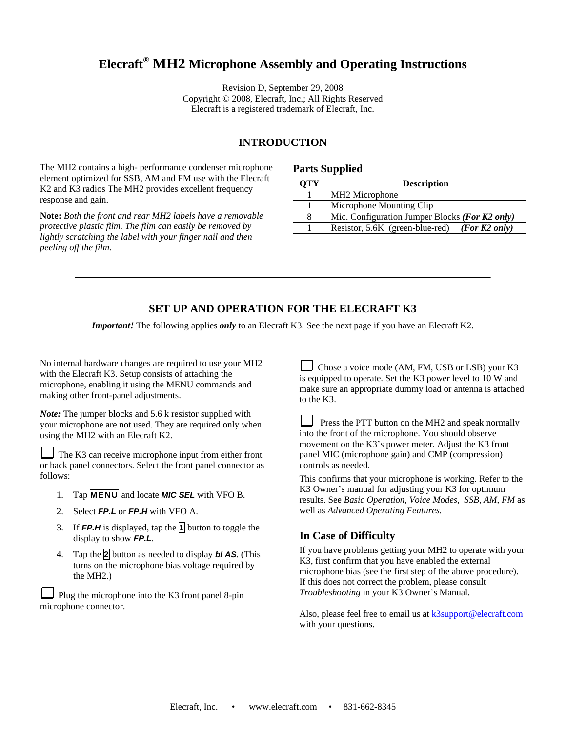# **Elecraft® MH2 Microphone Assembly and Operating Instructions**

Revision D, September 29, 2008 Copyright © 2008, Elecraft, Inc.; All Rights Reserved Elecraft is a registered trademark of Elecraft, Inc.

#### **INTRODUCTION**

The MH2 contains a high- performance condenser microphone element optimized for SSB, AM and FM use with the Elecraft K2 and K3 radios The MH2 provides excellent frequency response and gain.

**Note:** *Both the front and rear MH2 labels have a removable protective plastic film. The film can easily be removed by lightly scratching the label with your finger nail and then peeling off the film.* 

#### **Parts Supplied**

| ЭTY | <b>Description</b>                               |
|-----|--------------------------------------------------|
|     | MH <sub>2</sub> Microphone                       |
|     | Microphone Mounting Clip                         |
|     | Mic. Configuration Jumper Blocks (For $K2$ only) |
|     | Resistor, 5.6K (green-blue-red) (For K2 only)    |

#### **SET UP AND OPERATION FOR THE ELECRAFT K3**

*Important!* The following applies *only* to an Elecraft K3. See the next page if you have an Elecraft K2.

No internal hardware changes are required to use your MH2 with the Elecraft K3. Setup consists of attaching the microphone, enabling it using the MENU commands and making other front-panel adjustments.

*Note:* The jumper blocks and 5.6 k resistor supplied with your microphone are not used. They are required only when using the MH2 with an Elecraft K2.

The K3 can receive microphone input from either front or back panel connectors. Select the front panel connector as follows:

- 1. Tap **MENU** and locate *MIC SEL* with VFO B.
- 2. Select *FP.L* or *FP.H* with VFO A.
- 3. If *FP.H* is displayed, tap the **1** button to toggle the display to show *FP.L*.
- 4. Tap the **2** button as needed to display *bI AS*. (This turns on the microphone bias voltage required by the MH2.)

Plug the microphone into the K3 front panel 8-pin microphone connector.

Chose a voice mode (AM, FM, USB or LSB) your K3 is equipped to operate. Set the K3 power level to 10 W and make sure an appropriate dummy load or antenna is attached to the K3.

**Press the PTT button on the MH2 and speak normally** into the front of the microphone. You should observe movement on the K3's power meter. Adjust the K3 front panel MIC (microphone gain) and CMP (compression) controls as needed.

This confirms that your microphone is working. Refer to the K3 Owner's manual for adjusting your K3 for optimum results. See *Basic Operation, Voice Modes, SSB, AM, FM* as well as *Advanced Operating Features.*

#### **In Case of Difficulty**

If you have problems getting your MH2 to operate with your K3, first confirm that you have enabled the external microphone bias (see the first step of the above procedure). If this does not correct the problem, please consult *Troubleshooting* in your K3 Owner's Manual.

Also, please feel free to email us at **k3support@elecraft.com** with your questions.